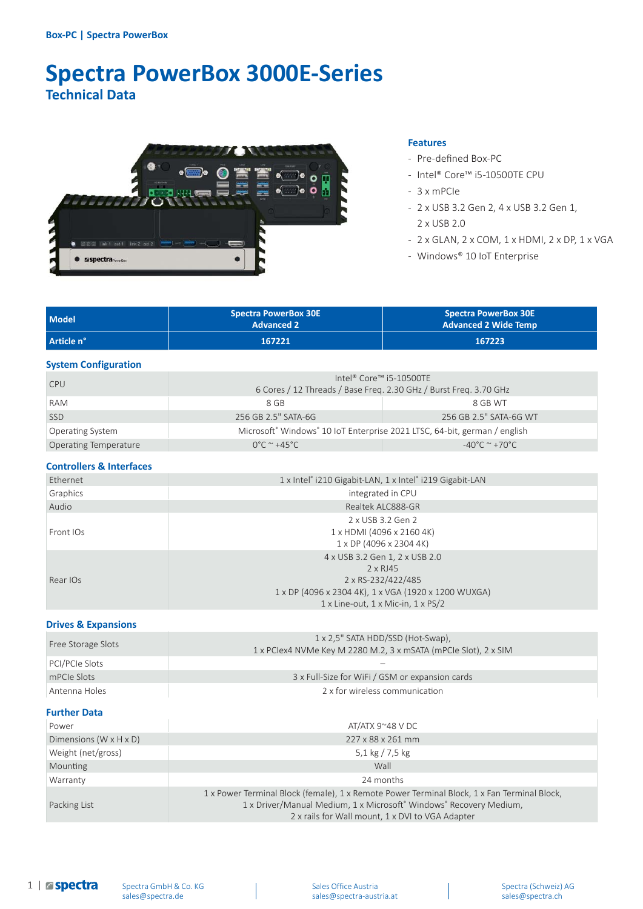# **Spectra PowerBox 3000E-Series Technical Data**



#### **Features**

- Pre-defined Box-PC
- Intel® Core™ i5-10500TE CPU
- 3 x mPCIe
- 2 x USB 3.2 Gen 2, 4 x USB 3.2 Gen 1, 2 x USB 2.0
- 2 x GLAN, 2 x COM, 1 x HDMI, 2 x DP, 1 x VGA
- Windows® 10 IoT Enterprise

| <b>Model</b> | <b>Spectra PowerBox 30E</b><br><b>Advanced 2</b> | <b>Spectra PowerBox 30E</b><br><b>Advanced 2 Wide Temp</b> |
|--------------|--------------------------------------------------|------------------------------------------------------------|
| Article n°   | 167221                                           | 167223                                                     |

#### **System Configuration**

| <b>CPU</b>                   | 6 Cores / 12 Threads / Base Freq. 2.30 GHz / Burst Freq. 3.70 GHz                                 | Intel® Core™ i5-10500TE                    |
|------------------------------|---------------------------------------------------------------------------------------------------|--------------------------------------------|
| RAM                          | 8 GB                                                                                              | 8 GB WT                                    |
| <b>SSD</b>                   | 256 GB 2.5" SATA-6G                                                                               | 256 GB 2.5" SATA-6G WT                     |
| <b>Operating System</b>      | Microsoft <sup>®</sup> Windows <sup>®</sup> 10 IoT Enterprise 2021 LTSC, 64-bit, german / english |                                            |
| <b>Operating Temperature</b> | $0^{\circ}$ C ~ +45 $^{\circ}$ C                                                                  | $-40^{\circ}$ C $^{\sim}$ +70 $^{\circ}$ C |

#### **Controllers & Interfaces**

| Ethernet  | 1 x Intel® i210 Gigabit-LAN, 1 x Intel® i219 Gigabit-LAN |  |
|-----------|----------------------------------------------------------|--|
| Graphics  | integrated in CPU                                        |  |
| Audio     | Realtek ALC888-GR                                        |  |
| Front IOs | 2 x USB 3.2 Gen 2                                        |  |
|           | 1 x HDMI (4096 x 2160 4K)                                |  |
|           | 1 x DP (4096 x 2304 4K)                                  |  |
| Rear IOs  | 4 x USB 3.2 Gen 1, 2 x USB 2.0                           |  |
|           | 2 x RJ45                                                 |  |
|           | 2 x RS-232/422/485                                       |  |
|           | 1 x DP (4096 x 2304 4K), 1 x VGA (1920 x 1200 WUXGA)     |  |
|           | $1 \times$ Line-out, $1 \times$ Mic-in, $1 \times$ PS/2  |  |

#### **Drives & Expansions**

| Free Storage Slots | 1 x 2,5" SATA HDD/SSD (Hot-Swap),<br>1 x PClex4 NVMe Key M 2280 M.2, 3 x mSATA (mPCle Slot), 2 x SIM |  |
|--------------------|------------------------------------------------------------------------------------------------------|--|
| PCI/PCIe Slots     |                                                                                                      |  |
| mPCIe Slots        | 3 x Full-Size for WiFi / GSM or expansion cards                                                      |  |
| Antenna Holes      | 2 x for wireless communication                                                                       |  |

#### **Further Data**

| Power                                | AT/ATX $9^{\sim}48$ V DC                                                                                                                                                                                              |  |
|--------------------------------------|-----------------------------------------------------------------------------------------------------------------------------------------------------------------------------------------------------------------------|--|
| Dimensions (W $\times$ H $\times$ D) | 227 x 88 x 261 mm                                                                                                                                                                                                     |  |
| Weight (net/gross)                   | 5,1 kg $/ 7.5$ kg                                                                                                                                                                                                     |  |
| Mounting                             | Wall                                                                                                                                                                                                                  |  |
| Warranty                             | 24 months                                                                                                                                                                                                             |  |
| Packing List                         | 1 x Power Terminal Block (female), 1 x Remote Power Terminal Block, 1 x Fan Terminal Block,<br>1 x Driver/Manual Medium, 1 x Microsoft® Windows® Recovery Medium,<br>2 x rails for Wall mount, 1 x DVI to VGA Adapter |  |